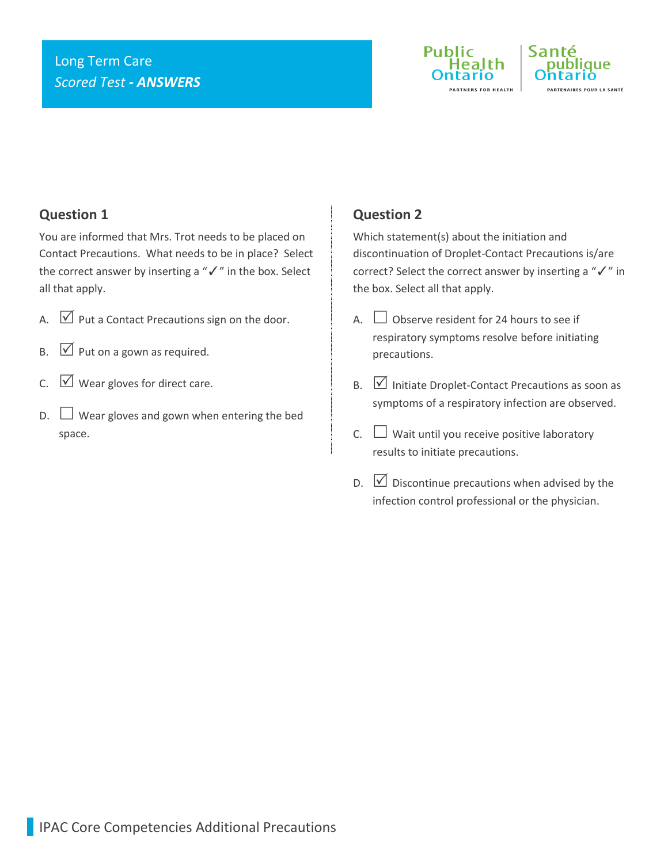## Long Term Care *Scored Test - ANSWERS*





### **Question 1**

You are informed that Mrs. Trot needs to be placed on Contact Precautions. What needs to be in place? Select the correct answer by inserting a "✓" in the box. Select all that apply.

- A.  $\triangledown$  Put a Contact Precautions sign on the door.
- $\mathsf{B.} \quad \boxed{\vee}$  Put on a gown as required.
- $C. \quad \boxed{\vee}$  Wear gloves for direct care.
- $\Box$  Wear gloves and gown when entering the bed space.

### **Question 2**

Which statement(s) about the initiation and discontinuation of Droplet-Contact Precautions is/are correct? Select the correct answer by inserting a "✓" in the box. Select all that apply.

- A.  $\Box$  Observe resident for 24 hours to see if respiratory symptoms resolve before initiating precautions.
- $B.$   $\Box$  Initiate Droplet-Contact Precautions as soon as symptoms of a respiratory infection are observed.
- C.  $\Box$  Wait until you receive positive laboratory results to initiate precautions.
- D.  $\boxed{\vee}$  Discontinue precautions when advised by the infection control professional or the physician.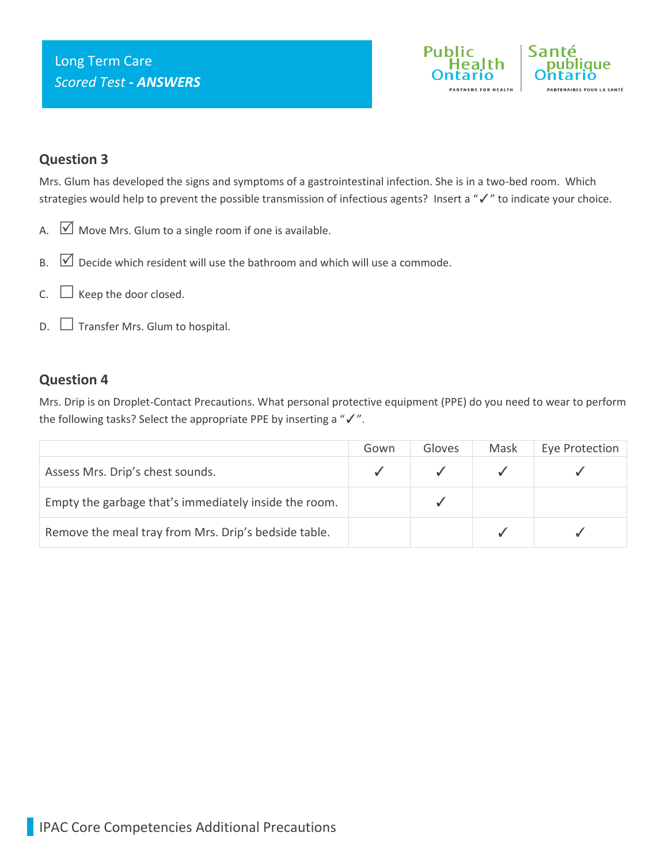

### **Question 3**

Mrs. Glum has developed the signs and symptoms of a gastrointestinal infection. She is in a two-bed room. Which strategies would help to prevent the possible transmission of infectious agents? Insert a "✓" to indicate your choice.

- A.  $\boxed{\vee}$  Move Mrs. Glum to a single room if one is available.
- B.  $\boxed{\vee}$  Decide which resident will use the bathroom and which will use a commode.
- $C.$   $\Box$  Keep the door closed.
- $D.$   $\Box$  Transfer Mrs. Glum to hospital.

#### **Question 4**

Mrs. Drip is on Droplet-Contact Precautions. What personal protective equipment (PPE) do you need to wear to perform the following tasks? Select the appropriate PPE by inserting a "✓".

|                                                       | Gown | Gloves | Mask | Eye Protection |
|-------------------------------------------------------|------|--------|------|----------------|
| Assess Mrs. Drip's chest sounds.                      |      |        |      |                |
| Empty the garbage that's immediately inside the room. |      |        |      |                |
| Remove the meal tray from Mrs. Drip's bedside table.  |      |        |      |                |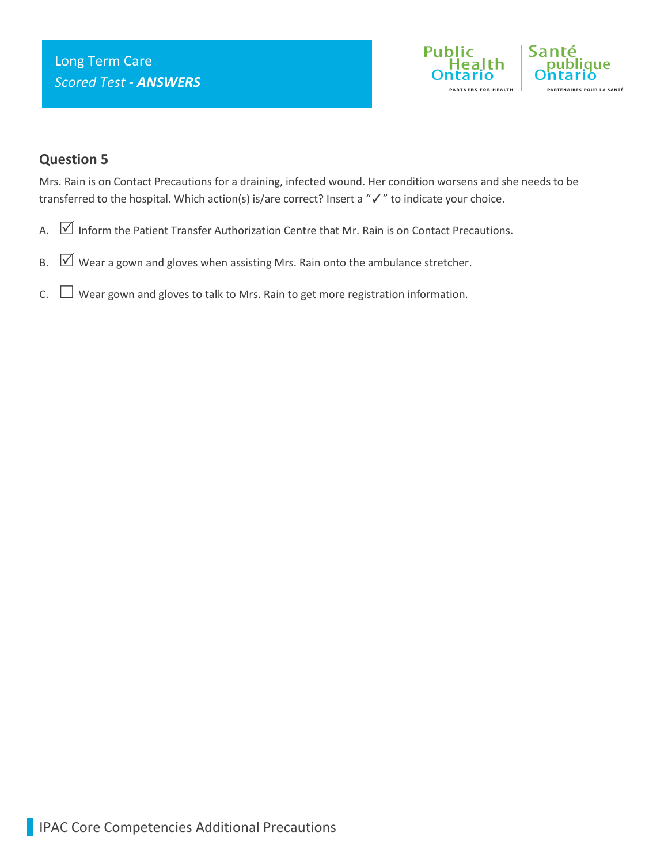

### **Question 5**

Mrs. Rain is on Contact Precautions for a draining, infected wound. Her condition worsens and she needs to be transferred to the hospital. Which action(s) is/are correct? Insert a "√" to indicate your choice.

- A.  $\boxed{\vee}$  Inform the Patient Transfer Authorization Centre that Mr. Rain is on Contact Precautions.
- B.  $\boxed{\vee}$  Wear a gown and gloves when assisting Mrs. Rain onto the ambulance stretcher.
- $C.$   $\Box$  Wear gown and gloves to talk to Mrs. Rain to get more registration information.